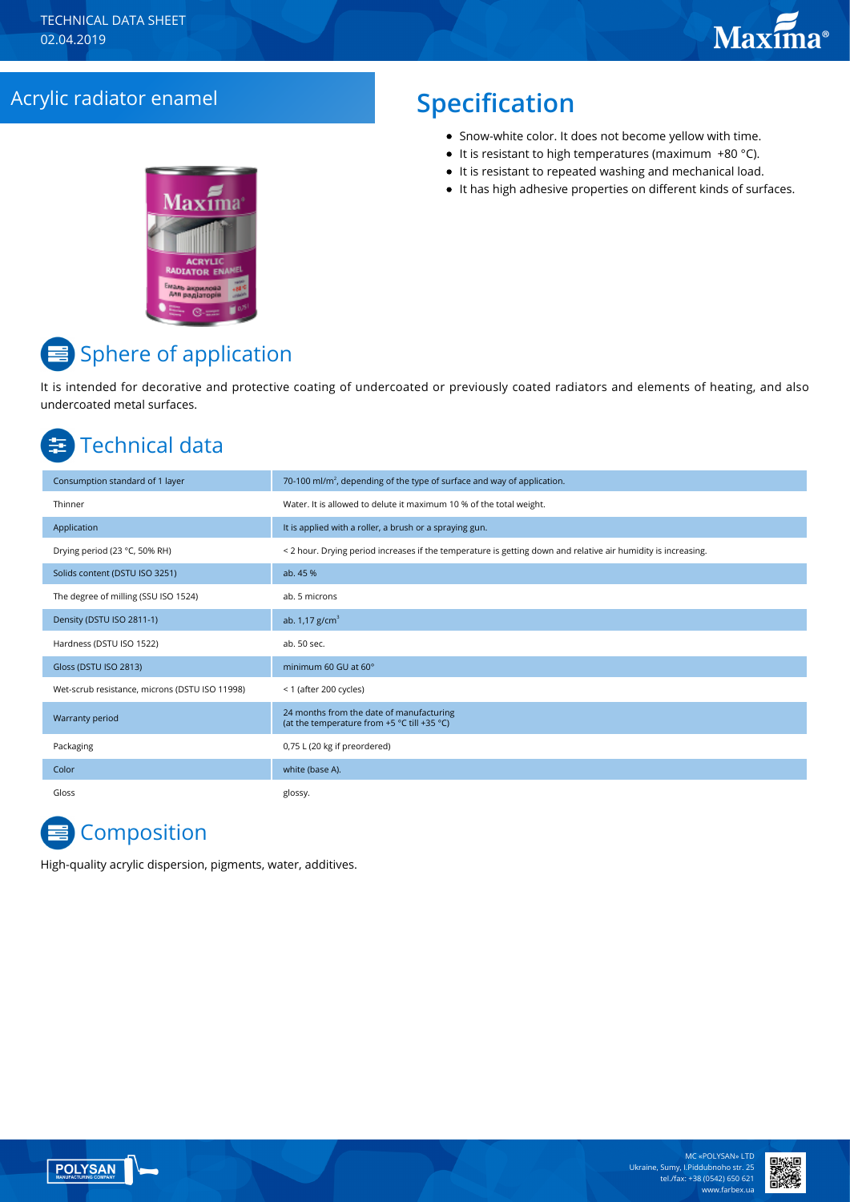### Acrylic radiator enamel **Specification**

- Snow-white color. It does not become yellow with time.
- $\bullet$  It is resistant to high temperatures (maximum +80 °C).
- It is resistant to repeated washing and mechanical load.
- $\bullet$  It has high adhesive properties on different kinds of surfaces.



# **E** Sphere of application

It is intended for decorative and protective coating of undercoated or previously coated radiators and elements of heating, and also undercoated metal surfaces.

## Technical data

| Consumption standard of 1 layer                | 70-100 ml/m <sup>2</sup> , depending of the type of surface and way of application.                           |
|------------------------------------------------|---------------------------------------------------------------------------------------------------------------|
| Thinner                                        | Water. It is allowed to delute it maximum 10 % of the total weight.                                           |
| Application                                    | It is applied with a roller, a brush or a spraying gun.                                                       |
| Drying period (23 °C, 50% RH)                  | < 2 hour. Drying period increases if the temperature is getting down and relative air humidity is increasing. |
| Solids content (DSTU ISO 3251)                 | ab. 45 %                                                                                                      |
| The degree of milling (SSU ISO 1524)           | ab. 5 microns                                                                                                 |
| Density (DSTU ISO 2811-1)                      | ab. $1,17$ g/cm <sup>3</sup>                                                                                  |
| Hardness (DSTU ISO 1522)                       | ab. 50 sec.                                                                                                   |
| Gloss (DSTU ISO 2813)                          | minimum 60 GU at 60°                                                                                          |
| Wet-scrub resistance, microns (DSTU ISO 11998) | < 1 (after 200 cycles)                                                                                        |
| Warranty period                                | 24 months from the date of manufacturing<br>(at the temperature from +5 °C till +35 °C)                       |
| Packaging                                      | 0,75 L (20 kg if preordered)                                                                                  |
| Color                                          | white (base A).                                                                                               |
| Gloss                                          | glossy.                                                                                                       |

# Сomposition

High-quality acrylic dispersion, pigments, water, additives.